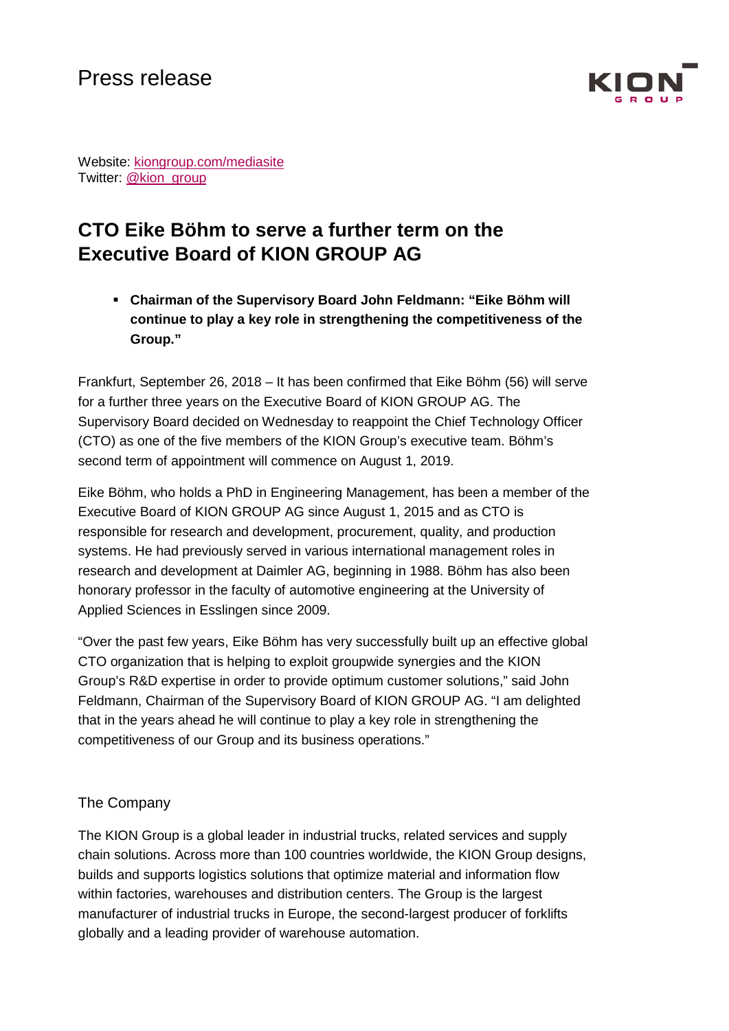

Website: [kiongroup.com/mediasite](http://www.kiongroup.com/medienseite) Twitter: [@kion\\_group](https://twitter.com/kion_group)

## **CTO Eike Böhm to serve a further term on the Executive Board of KION GROUP AG**

 **Chairman of the Supervisory Board John Feldmann: "Eike Böhm will continue to play a key role in strengthening the competitiveness of the Group."**

Frankfurt, September 26, 2018 – It has been confirmed that Eike Böhm (56) will serve for a further three years on the Executive Board of KION GROUP AG. The Supervisory Board decided on Wednesday to reappoint the Chief Technology Officer (CTO) as one of the five members of the KION Group's executive team. Böhm's second term of appointment will commence on August 1, 2019.

Eike Böhm, who holds a PhD in Engineering Management, has been a member of the Executive Board of KION GROUP AG since August 1, 2015 and as CTO is responsible for research and development, procurement, quality, and production systems. He had previously served in various international management roles in research and development at Daimler AG, beginning in 1988. Böhm has also been honorary professor in the faculty of automotive engineering at the University of Applied Sciences in Esslingen since 2009.

"Over the past few years, Eike Böhm has very successfully built up an effective global CTO organization that is helping to exploit groupwide synergies and the KION Group's R&D expertise in order to provide optimum customer solutions," said John Feldmann, Chairman of the Supervisory Board of KION GROUP AG. "I am delighted that in the years ahead he will continue to play a key role in strengthening the competitiveness of our Group and its business operations."

## The Company

The KION Group is a global leader in industrial trucks, related services and supply chain solutions. Across more than 100 countries worldwide, the KION Group designs, builds and supports logistics solutions that optimize material and information flow within factories, warehouses and distribution centers. The Group is the largest manufacturer of industrial trucks in Europe, the second-largest producer of forklifts globally and a leading provider of warehouse automation.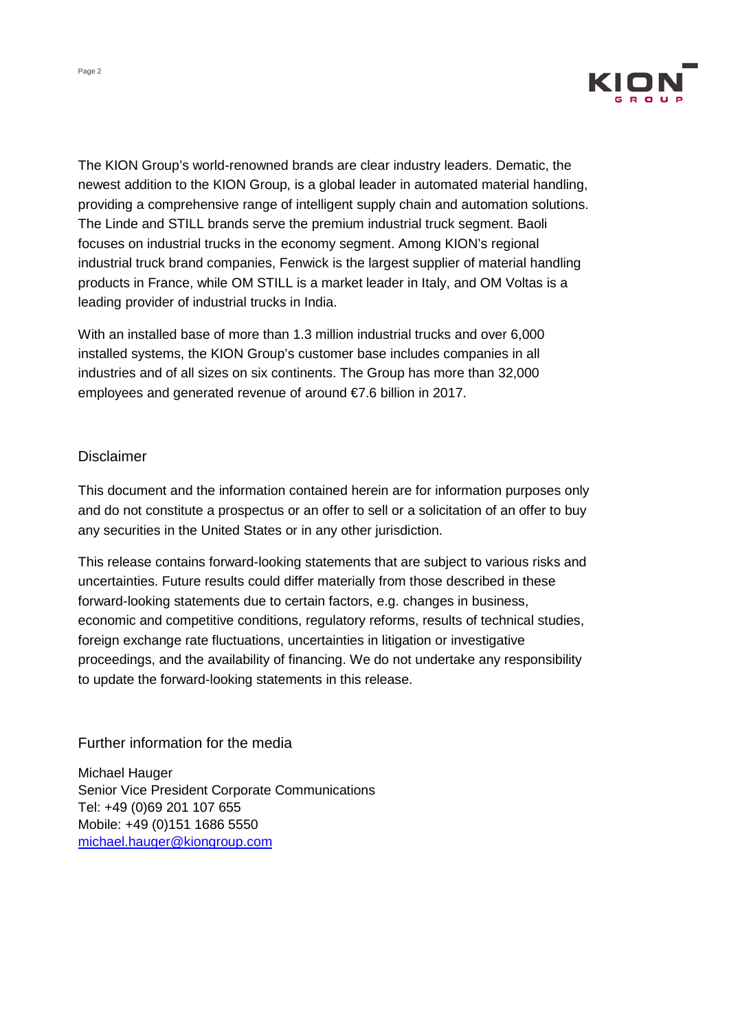

The KION Group's world-renowned brands are clear industry leaders. Dematic, the newest addition to the KION Group, is a global leader in automated material handling, providing a comprehensive range of intelligent supply chain and automation solutions. The Linde and STILL brands serve the premium industrial truck segment. Baoli focuses on industrial trucks in the economy segment. Among KION's regional industrial truck brand companies, Fenwick is the largest supplier of material handling products in France, while OM STILL is a market leader in Italy, and OM Voltas is a leading provider of industrial trucks in India.

With an installed base of more than 1.3 million industrial trucks and over 6,000 installed systems, the KION Group's customer base includes companies in all industries and of all sizes on six continents. The Group has more than 32,000 employees and generated revenue of around €7.6 billion in 2017.

## Disclaimer

This document and the information contained herein are for information purposes only and do not constitute a prospectus or an offer to sell or a solicitation of an offer to buy any securities in the United States or in any other jurisdiction.

This release contains forward-looking statements that are subject to various risks and uncertainties. Future results could differ materially from those described in these forward-looking statements due to certain factors, e.g. changes in business, economic and competitive conditions, regulatory reforms, results of technical studies, foreign exchange rate fluctuations, uncertainties in litigation or investigative proceedings, and the availability of financing. We do not undertake any responsibility to update the forward-looking statements in this release.

## Further information for the media

Michael Hauger Senior Vice President Corporate Communications Tel: +49 (0)69 201 107 655 Mobile: +49 (0)151 1686 5550 [michael.hauger@kiongroup.com](mailto:michael.hauger@kiongroup.com)